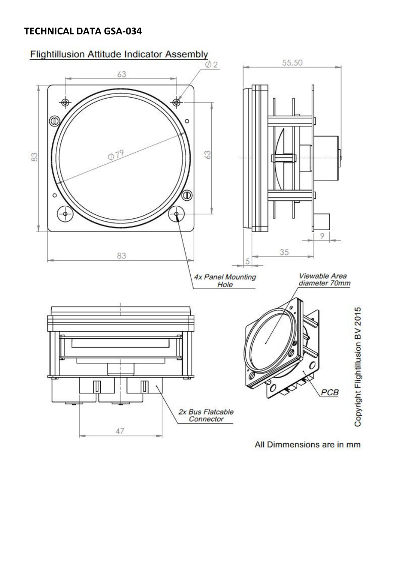## TECHNICAL DATA GSA-034



All Dimmensions are in mm